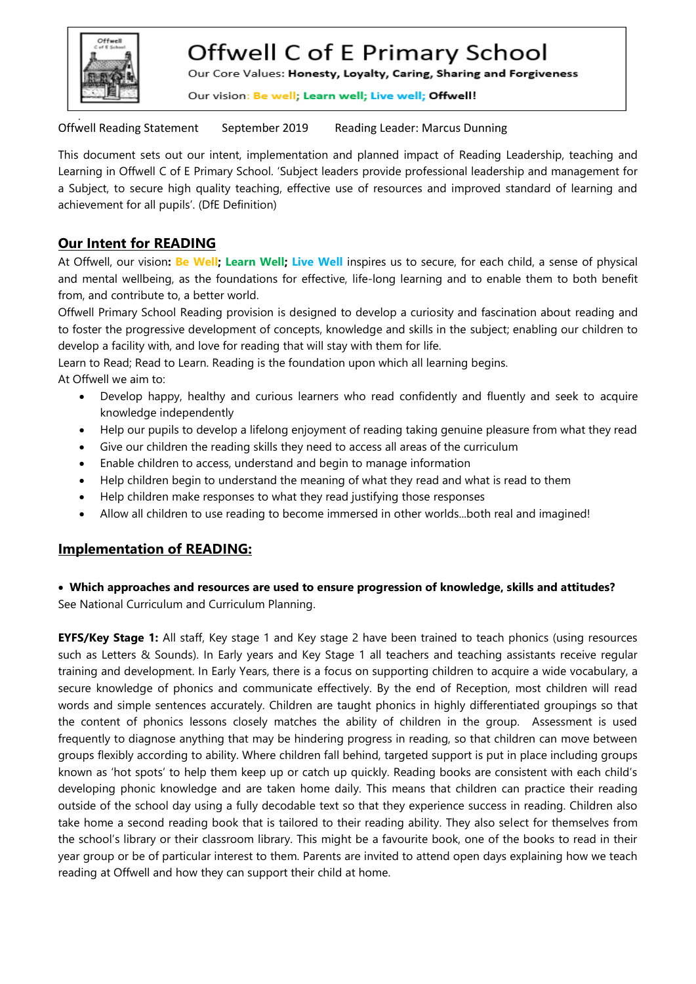

# Offwell C of E Primary School

Our Core Values: Honesty, Loyalty, Caring, Sharing and Forgiveness

Our vision: Be well; Learn well; Live well; Offwell!

Offwell Reading Statement September 2019 Reading Leader: Marcus Dunning

This document sets out our intent, implementation and planned impact of Reading Leadership, teaching and Learning in Offwell C of E Primary School. 'Subject leaders provide professional leadership and management for a Subject, to secure high quality teaching, effective use of resources and improved standard of learning and achievement for all pupils'. (DfE Definition)

## **Our Intent for READING**

At Offwell, our vision**: Be Well; Learn Well; Live Well** inspires us to secure, for each child, a sense of physical and mental wellbeing, as the foundations for effective, life-long learning and to enable them to both benefit from, and contribute to, a better world.

Offwell Primary School Reading provision is designed to develop a curiosity and fascination about reading and to foster the progressive development of concepts, knowledge and skills in the subject; enabling our children to develop a facility with, and love for reading that will stay with them for life.

Learn to Read; Read to Learn. Reading is the foundation upon which all learning begins.

At Offwell we aim to:

- Develop happy, healthy and curious learners who read confidently and fluently and seek to acquire knowledge independently
- Help our pupils to develop a lifelong enjoyment of reading taking genuine pleasure from what they read
- Give our children the reading skills they need to access all areas of the curriculum
- Enable children to access, understand and begin to manage information
- Help children begin to understand the meaning of what they read and what is read to them
- Help children make responses to what they read justifying those responses
- Allow all children to use reading to become immersed in other worlds...both real and imagined!

### **Implementation of READING:**

 **Which approaches and resources are used to ensure progression of knowledge, skills and attitudes?** See National Curriculum and Curriculum Planning.

**EYFS/Key Stage 1:** All staff, Key stage 1 and Key stage 2 have been trained to teach phonics (using resources such as Letters & Sounds). In Early years and Key Stage 1 all teachers and teaching assistants receive regular training and development. In Early Years, there is a focus on supporting children to acquire a wide vocabulary, a secure knowledge of phonics and communicate effectively. By the end of Reception, most children will read words and simple sentences accurately. Children are taught phonics in highly differentiated groupings so that the content of phonics lessons closely matches the ability of children in the group. Assessment is used frequently to diagnose anything that may be hindering progress in reading, so that children can move between groups flexibly according to ability. Where children fall behind, targeted support is put in place including groups known as 'hot spots' to help them keep up or catch up quickly. Reading books are consistent with each child's developing phonic knowledge and are taken home daily. This means that children can practice their reading outside of the school day using a fully decodable text so that they experience success in reading. Children also take home a second reading book that is tailored to their reading ability. They also select for themselves from the school's library or their classroom library. This might be a favourite book, one of the books to read in their year group or be of particular interest to them. Parents are invited to attend open days explaining how we teach reading at Offwell and how they can support their child at home.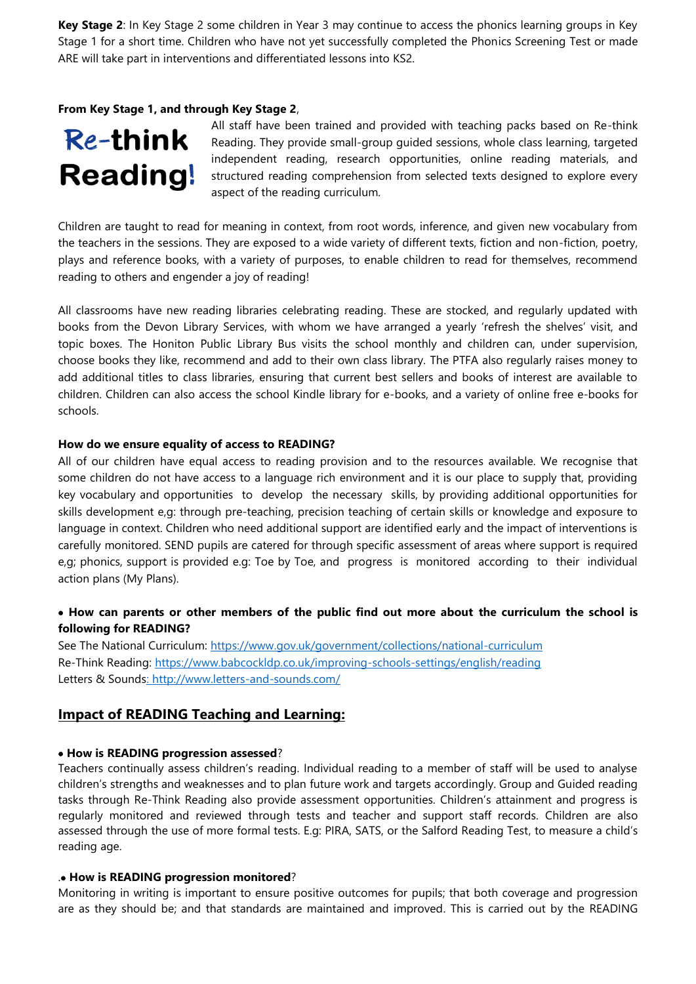**Key Stage 2**: In Key Stage 2 some children in Year 3 may continue to access the phonics learning groups in Key Stage 1 for a short time. Children who have not yet successfully completed the Phonics Screening Test or made ARE will take part in interventions and differentiated lessons into KS2.

#### **From Key Stage 1, and through Key Stage 2**,

# **Re-think Reading!**

All staff have been trained and provided with teaching packs based on Re-think Reading. They provide small-group guided sessions, whole class learning, targeted independent reading, research opportunities, online reading materials, and structured reading comprehension from selected texts designed to explore every aspect of the reading curriculum.

Children are taught to read for meaning in context, from root words, inference, and given new vocabulary from the teachers in the sessions. They are exposed to a wide variety of different texts, fiction and non-fiction, poetry, plays and reference books, with a variety of purposes, to enable children to read for themselves, recommend reading to others and engender a joy of reading!

All classrooms have new reading libraries celebrating reading. These are stocked, and regularly updated with books from the Devon Library Services, with whom we have arranged a yearly 'refresh the shelves' visit, and topic boxes. The Honiton Public Library Bus visits the school monthly and children can, under supervision, choose books they like, recommend and add to their own class library. The PTFA also regularly raises money to add additional titles to class libraries, ensuring that current best sellers and books of interest are available to children. Children can also access the school Kindle library for e-books, and a variety of online free e-books for schools.

#### **How do we ensure equality of access to READING?**

All of our children have equal access to reading provision and to the resources available. We recognise that some children do not have access to a language rich environment and it is our place to supply that, providing key vocabulary and opportunities to develop the necessary skills, by providing additional opportunities for skills development e,g: through pre-teaching, precision teaching of certain skills or knowledge and exposure to language in context. Children who need additional support are identified early and the impact of interventions is carefully monitored. SEND pupils are catered for through specific assessment of areas where support is required e,g; phonics, support is provided e.g: Toe by Toe, and progress is monitored according to their individual action plans (My Plans).

#### **How can parents or other members of the public find out more about the curriculum the school is following for READING?**

See The National Curriculum:<https://www.gov.uk/government/collections/national-curriculum> Re-Think Reading:<https://www.babcockldp.co.uk/improving-schools-settings/english/reading> Letters & Sounds:<http://www.letters-and-sounds.com/>

#### **Impact of READING Teaching and Learning:**

#### **How is READING progression assessed**?

Teachers continually assess children's reading. Individual reading to a member of staff will be used to analyse children's strengths and weaknesses and to plan future work and targets accordingly. Group and Guided reading tasks through Re-Think Reading also provide assessment opportunities. Children's attainment and progress is regularly monitored and reviewed through tests and teacher and support staff records. Children are also assessed through the use of more formal tests. E.g: PIRA, SATS, or the Salford Reading Test, to measure a child's reading age.

#### . **How is READING progression monitored**?

Monitoring in writing is important to ensure positive outcomes for pupils; that both coverage and progression are as they should be; and that standards are maintained and improved. This is carried out by the READING